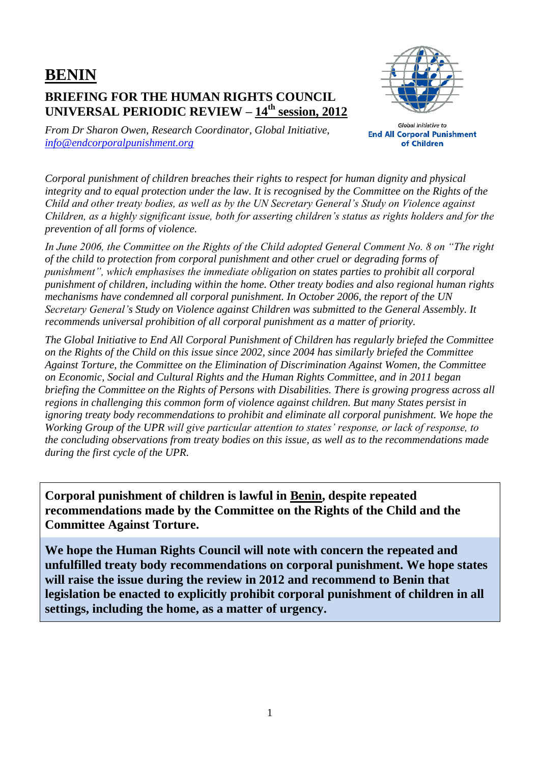## **BENIN BRIEFING FOR THE HUMAN RIGHTS COUNCIL UNIVERSAL PERIODIC REVIEW – 14th session, 2012**



*From Dr Sharon Owen, Research Coordinator, Global Initiative, [info@endcorporalpunishment.org](mailto:info@endcorporalpunishment.org)*

**Global Initiative to End All Corporal Punishment** of Children

*Corporal punishment of children breaches their rights to respect for human dignity and physical integrity and to equal protection under the law. It is recognised by the Committee on the Rights of the Child and other treaty bodies, as well as by the UN Secretary General's Study on Violence against Children, as a highly significant issue, both for asserting children's status as rights holders and for the prevention of all forms of violence.*

*In June 2006, the Committee on the Rights of the Child adopted General Comment No. 8 on "The right of the child to protection from corporal punishment and other cruel or degrading forms of punishment", which emphasises the immediate obligation on states parties to prohibit all corporal punishment of children, including within the home. Other treaty bodies and also regional human rights mechanisms have condemned all corporal punishment. In October 2006, the report of the UN Secretary General's Study on Violence against Children was submitted to the General Assembly. It recommends universal prohibition of all corporal punishment as a matter of priority.*

*The Global Initiative to End All Corporal Punishment of Children has regularly briefed the Committee on the Rights of the Child on this issue since 2002, since 2004 has similarly briefed the Committee Against Torture, the Committee on the Elimination of Discrimination Against Women, the Committee on Economic, Social and Cultural Rights and the Human Rights Committee, and in 2011 began briefing the Committee on the Rights of Persons with Disabilities. There is growing progress across all regions in challenging this common form of violence against children. But many States persist in ignoring treaty body recommendations to prohibit and eliminate all corporal punishment. We hope the Working Group of the UPR will give particular attention to states' response, or lack of response, to the concluding observations from treaty bodies on this issue, as well as to the recommendations made during the first cycle of the UPR.*

**Corporal punishment of children is lawful in Benin, despite repeated recommendations made by the Committee on the Rights of the Child and the Committee Against Torture.**

**We hope the Human Rights Council will note with concern the repeated and unfulfilled treaty body recommendations on corporal punishment. We hope states will raise the issue during the review in 2012 and recommend to Benin that legislation be enacted to explicitly prohibit corporal punishment of children in all settings, including the home, as a matter of urgency.**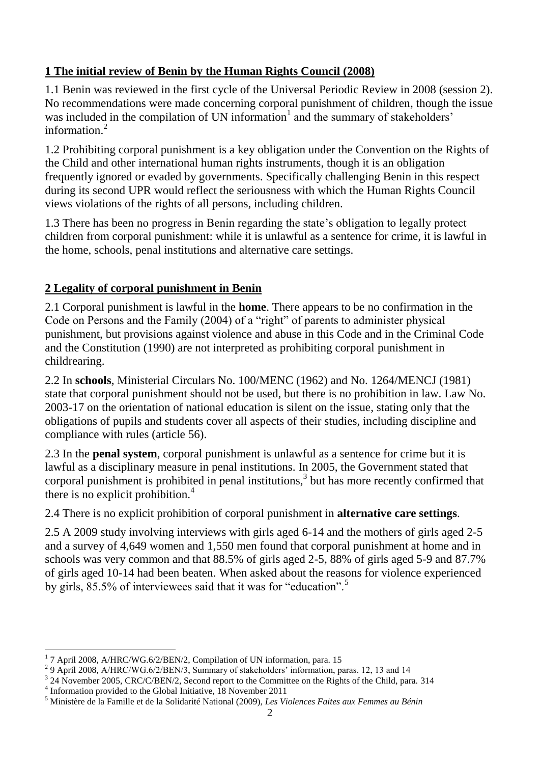## **1 The initial review of Benin by the Human Rights Council (2008)**

1.1 Benin was reviewed in the first cycle of the Universal Periodic Review in 2008 (session 2). No recommendations were made concerning corporal punishment of children, though the issue was included in the compilation of UN information<sup>1</sup> and the summary of stakeholders' information. 2

1.2 Prohibiting corporal punishment is a key obligation under the Convention on the Rights of the Child and other international human rights instruments, though it is an obligation frequently ignored or evaded by governments. Specifically challenging Benin in this respect during its second UPR would reflect the seriousness with which the Human Rights Council views violations of the rights of all persons, including children.

1.3 There has been no progress in Benin regarding the state's obligation to legally protect children from corporal punishment: while it is unlawful as a sentence for crime, it is lawful in the home, schools, penal institutions and alternative care settings.

## **2 Legality of corporal punishment in Benin**

2.1 Corporal punishment is lawful in the **home**. There appears to be no confirmation in the Code on Persons and the Family (2004) of a "right" of parents to administer physical punishment, but provisions against violence and abuse in this Code and in the Criminal Code and the Constitution (1990) are not interpreted as prohibiting corporal punishment in childrearing.

2.2 In **schools**, Ministerial Circulars No. 100/MENC (1962) and No. 1264/MENCJ (1981) state that corporal punishment should not be used, but there is no prohibition in law. Law No. 2003-17 on the orientation of national education is silent on the issue, stating only that the obligations of pupils and students cover all aspects of their studies, including discipline and compliance with rules (article 56).

2.3 In the **penal system**, corporal punishment is unlawful as a sentence for crime but it is lawful as a disciplinary measure in penal institutions. In 2005, the Government stated that corporal punishment is prohibited in penal institutions, $3$  but has more recently confirmed that there is no explicit prohibition. $<sup>4</sup>$ </sup>

2.4 There is no explicit prohibition of corporal punishment in **alternative care settings**.

2.5 A 2009 study involving interviews with girls aged 6-14 and the mothers of girls aged 2-5 and a survey of 4,649 women and 1,550 men found that corporal punishment at home and in schools was very common and that 88.5% of girls aged 2-5, 88% of girls aged 5-9 and 87.7% of girls aged 10-14 had been beaten. When asked about the reasons for violence experienced by girls, 85.5% of interviewees said that it was for "education".<sup>5</sup>

 $\overline{a}$ <sup>1</sup> 7 April 2008, A/HRC/WG.6/2/BEN/2, Compilation of UN information, para. 15

<sup>&</sup>lt;sup>2</sup> 9 April 2008, A/HRC/WG.6/2/BEN/3, Summary of stakeholders' information, paras. 12, 13 and 14

<sup>&</sup>lt;sup>3</sup> 24 November 2005, CRC/C/BEN/2, Second report to the Committee on the Rights of the Child, para. 314

<sup>&</sup>lt;sup>4</sup> Information provided to the Global Initiative, 18 November 2011

<sup>5</sup> Ministère de la Famille et de la Solidarité National (2009), *Les Violences Faites aux Femmes au Bénin*